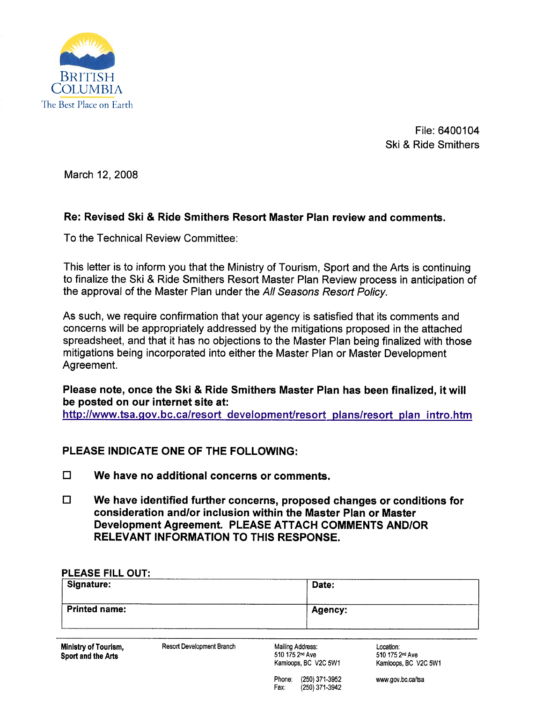

File: 6400104 Ski & Ride Smithers

March 12, 2008

## Re: Revised Ski & Ride Smithers Resort Master Plan review and comments.

To the Technical Review Committee:

This letter is to inform you that the Ministry of Tourism, Sport and the Arts is continuing to finalize the Ski & Ride Smithers Resort Master Plan Review process in anticipation of the approval of the Master Plan under the All Seasons Resort Policy.

As such, we require confirmation that your agency is satisfied that its comments and concerns will be appropriately addressed by the mitigations proposed in the attached spreadsheet, and that it has no objections to the Master Plan being finalized with those mitigations being incorporated into either the Master Plan or Master Development Agreement.

Please note, once the Ski & Ride Smithers Master Plan has been finalized, it wil be posted on our internet site at:

http://www.tsa.gov.bc.ca/resort\_development/resort\_plans/resort\_plan\_intro.htm

## PLEASE INDICATE ONE OF THE FOllOWING:

- $\Box$  We have no additional concerns or comments.
- $\Box$  We have identified further concerns, proposed changes or conditions for consideration and/or inclusion within the Master Plan or Master Development Agreement. PLEASE ATTACH COMMENTS AND/OR RELEVANT INFORMATION TO THIS RESPONSE.

| <b>PLEASE FILL OUT:</b><br>Signature:      |                           | Date:                                                                   |                                                                  |
|--------------------------------------------|---------------------------|-------------------------------------------------------------------------|------------------------------------------------------------------|
| <b>Printed name:</b>                       |                           | Agency:                                                                 |                                                                  |
| Ministry of Tourism,<br>Sport and the Arts | Resort Development Branch | Mailing Address:<br>510 175 2 <sup>nd</sup> Ave<br>Kamloops, BC V2C 5W1 | Location:<br>510 175 2 <sup>nd</sup> Ave<br>Kamloops, BC V2C 5W1 |
|                                            |                           | (250) 371-3952<br>Phone:<br>Fax:<br>(250) 371-3942                      | www.gov.bc.ca/tsa                                                |